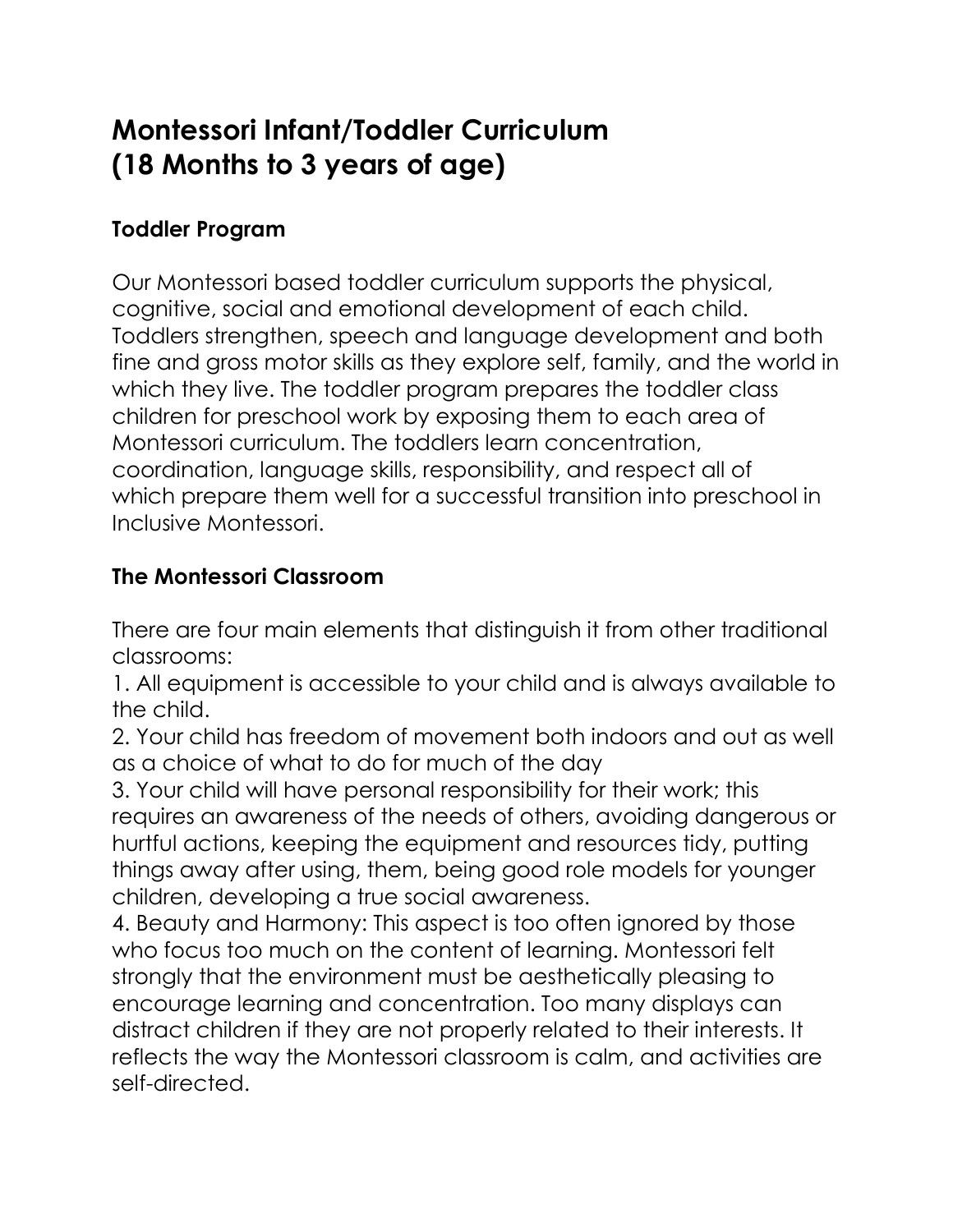# **Montessori Infant/Toddler Curriculum (18 Months to 3 years of age)**

# **Toddler Program**

Our Montessori based toddler curriculum supports the physical, cognitive, social and emotional development of each child. Toddlers strengthen, speech and language development and both fine and gross motor skills as they explore self, family, and the world in which they live. The toddler program prepares the toddler class children for preschool work by exposing them to each area of Montessori curriculum. The toddlers learn concentration, coordination, language skills, responsibility, and respect all of which prepare them well for a successful transition into preschool in Inclusive Montessori.

# **The Montessori Classroom**

There are four main elements that distinguish it from other traditional classrooms:

1. All equipment is accessible to your child and is always available to the child.

2. Your child has freedom of movement both indoors and out as well as a choice of what to do for much of the day

3. Your child will have personal responsibility for their work; this requires an awareness of the needs of others, avoiding dangerous or hurtful actions, keeping the equipment and resources tidy, putting things away after using, them, being good role models for younger children, developing a true social awareness.

4. Beauty and Harmony: This aspect is too often ignored by those who focus too much on the content of learning. Montessori felt strongly that the environment must be aesthetically pleasing to encourage learning and concentration. Too many displays can distract children if they are not properly related to their interests. It reflects the way the Montessori classroom is calm, and activities are self-directed.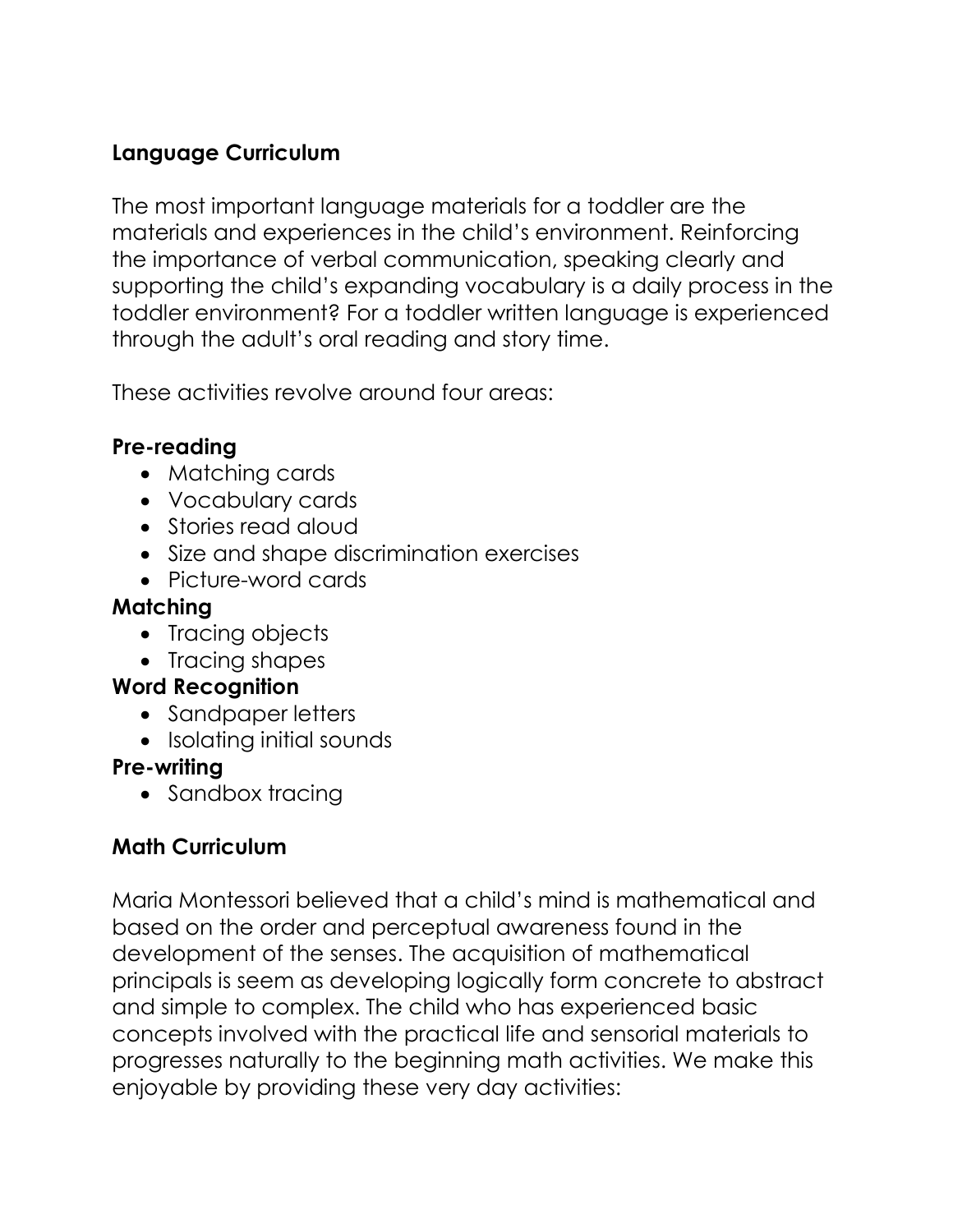### **Language Curriculum**

The most important language materials for a toddler are the materials and experiences in the child's environment. Reinforcing the importance of verbal communication, speaking clearly and supporting the child's expanding vocabulary is a daily process in the toddler environment? For a toddler written language is experienced through the adult's oral reading and story time.

These activities revolve around four areas:

### **Pre-reading**

- Matching cards
- Vocabulary cards
- Stories read aloud
- Size and shape discrimination exercises
- Picture-word cards

### **Matching**

- Tracing objects
- Tracing shapes

### **Word Recognition**

- Sandpaper letters
- Isolating initial sounds

### **Pre-writing**

• Sandbox tracing

# **Math Curriculum**

Maria Montessori believed that a child's mind is mathematical and based on the order and perceptual awareness found in the development of the senses. The acquisition of mathematical principals is seem as developing logically form concrete to abstract and simple to complex. The child who has experienced basic concepts involved with the practical life and sensorial materials to progresses naturally to the beginning math activities. We make this enjoyable by providing these very day activities: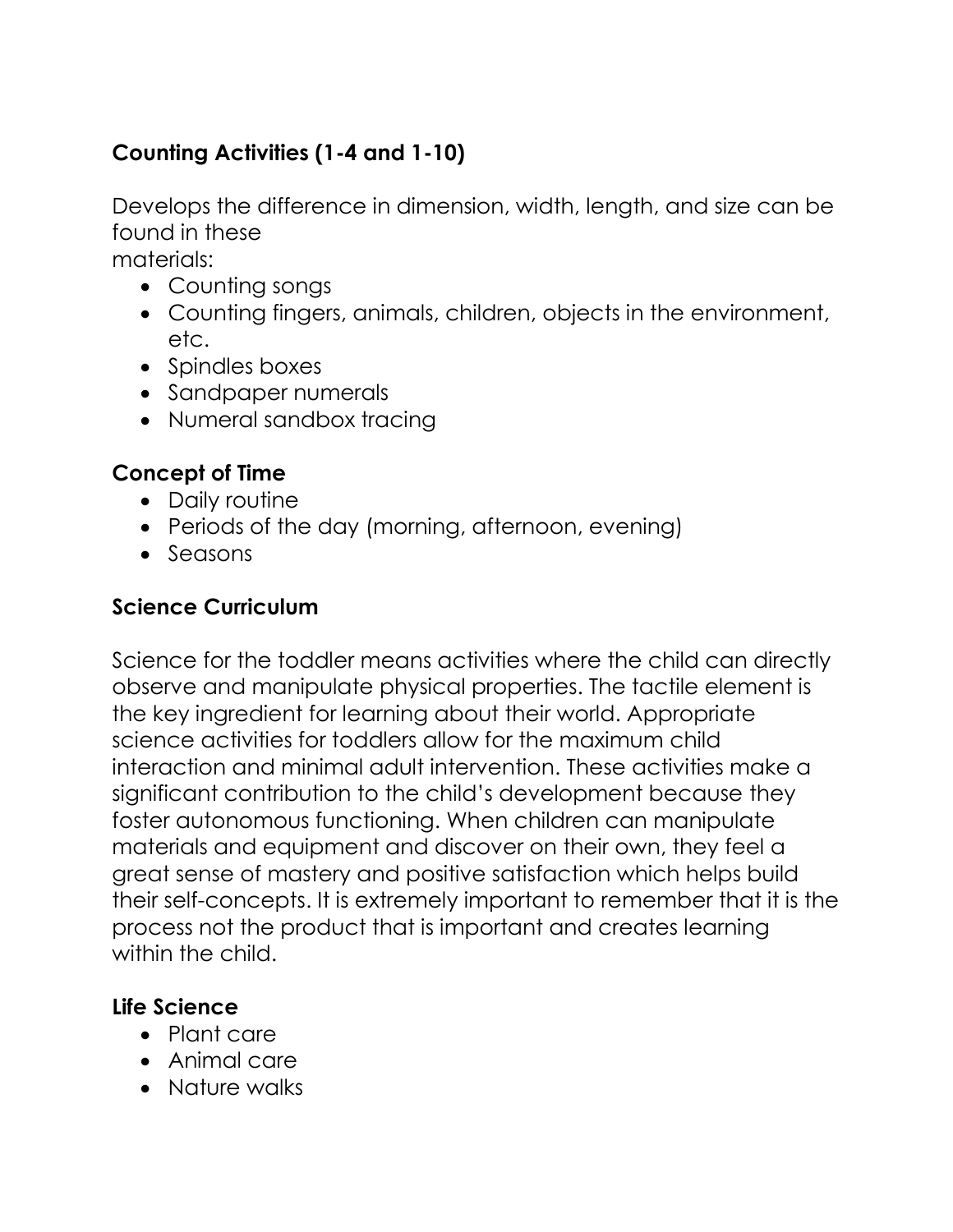# **Counting Activities (1-4 and 1-10)**

Develops the difference in dimension, width, length, and size can be found in these

materials:

- Counting songs
- Counting fingers, animals, children, objects in the environment, etc.
- Spindles boxes
- Sandpaper numerals
- Numeral sandbox tracing

#### **Concept of Time**

- Daily routine
- Periods of the day (morning, afternoon, evening)
- Seasons

#### **Science Curriculum**

Science for the toddler means activities where the child can directly observe and manipulate physical properties. The tactile element is the key ingredient for learning about their world. Appropriate science activities for toddlers allow for the maximum child interaction and minimal adult intervention. These activities make a significant contribution to the child's development because they foster autonomous functioning. When children can manipulate materials and equipment and discover on their own, they feel a great sense of mastery and positive satisfaction which helps build their self-concepts. It is extremely important to remember that it is the process not the product that is important and creates learning within the child.

#### **Life Science**

- Plant care
- Animal care
- Nature walks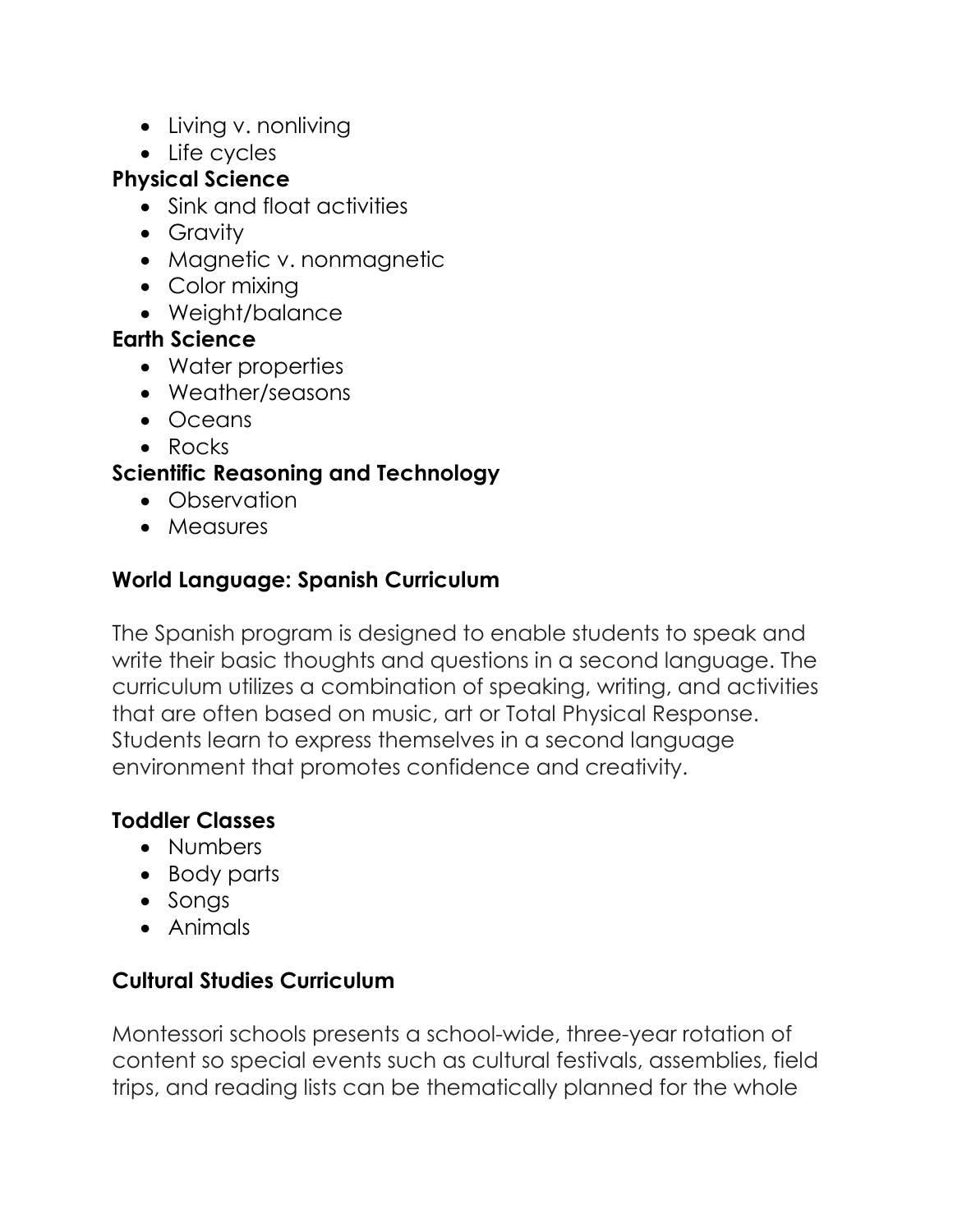- Living v. nonliving
- Life cycles

#### **Physical Science**

- Sink and float activities
- Gravity
- Magnetic v. nonmagnetic
- Color mixing
- Weight/balance

### **Earth Science**

- Water properties
- Weather/seasons
- Oceans
- Rocks

# **Scientific Reasoning and Technology**

- Observation
- Measures

# **World Language: Spanish Curriculum**

The Spanish program is designed to enable students to speak and write their basic thoughts and questions in a second language. The curriculum utilizes a combination of speaking, writing, and activities that are often based on music, art or Total Physical Response. Students learn to express themselves in a second language environment that promotes confidence and creativity.

### **Toddler Classes**

- Numbers
- Body parts
- Songs
- Animals

# **Cultural Studies Curriculum**

Montessori schools presents a school-wide, three-year rotation of content so special events such as cultural festivals, assemblies, field trips, and reading lists can be thematically planned for the whole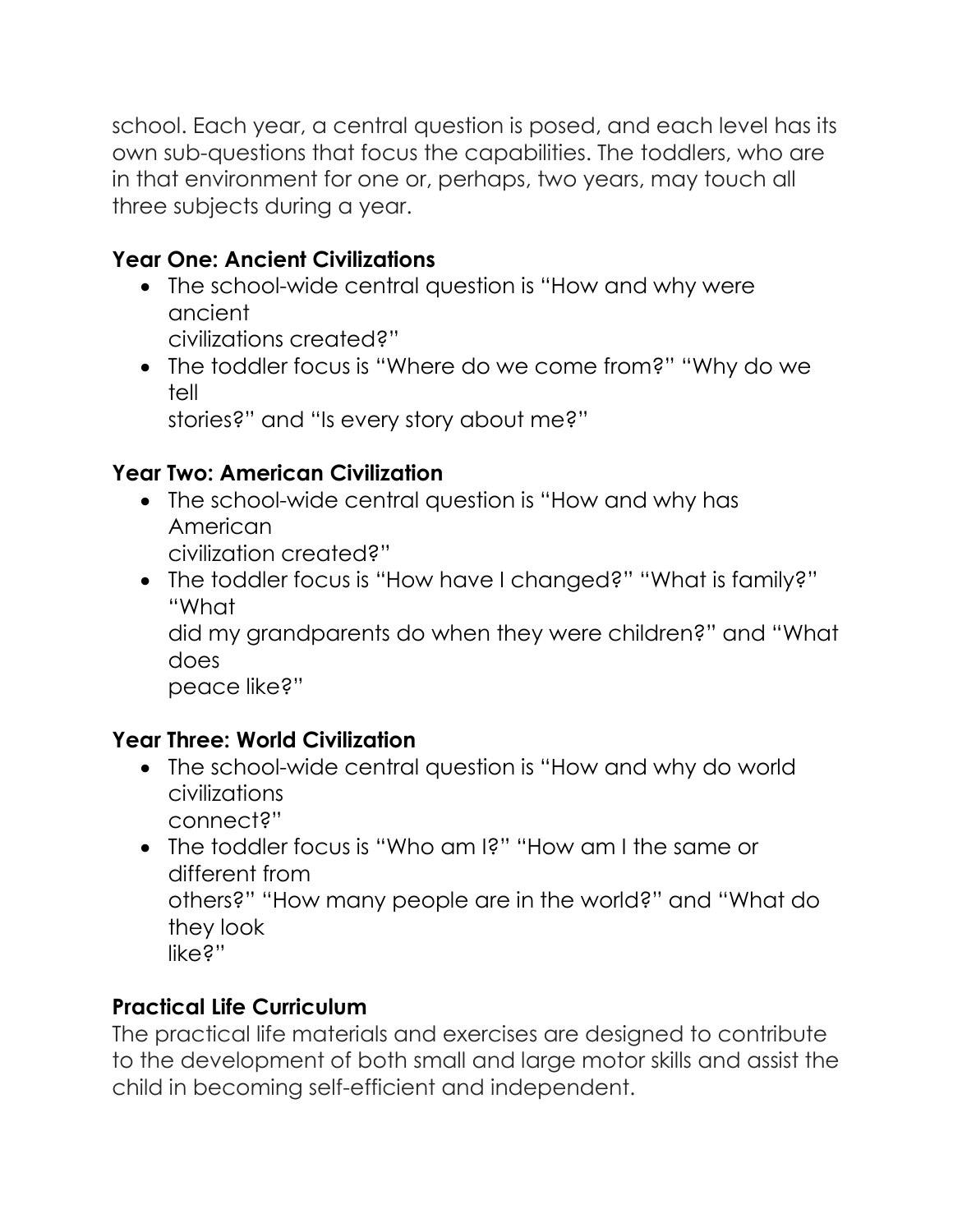school. Each year, a central question is posed, and each level has its own sub-questions that focus the capabilities. The toddlers, who are in that environment for one or, perhaps, two years, may touch all three subjects during a year.

# **Year One: Ancient Civilizations**

- The school-wide central question is "How and why were ancient civilizations created?"
- The toddler focus is "Where do we come from?" "Why do we tell

stories?" and "Is every story about me?"

# **Year Two: American Civilization**

- The school-wide central question is "How and why has American civilization created?"
- The toddler focus is "How have I changed?" "What is family?" "What

did my grandparents do when they were children?" and "What does

peace like?"

# **Year Three: World Civilization**

- The school-wide central question is "How and why do world civilizations connect?"
- The toddler focus is "Who am I?" "How am I the same or different from others?" "How many people are in the world?" and "What do they look like?"

# **Practical Life Curriculum**

The practical life materials and exercises are designed to contribute to the development of both small and large motor skills and assist the child in becoming self-efficient and independent.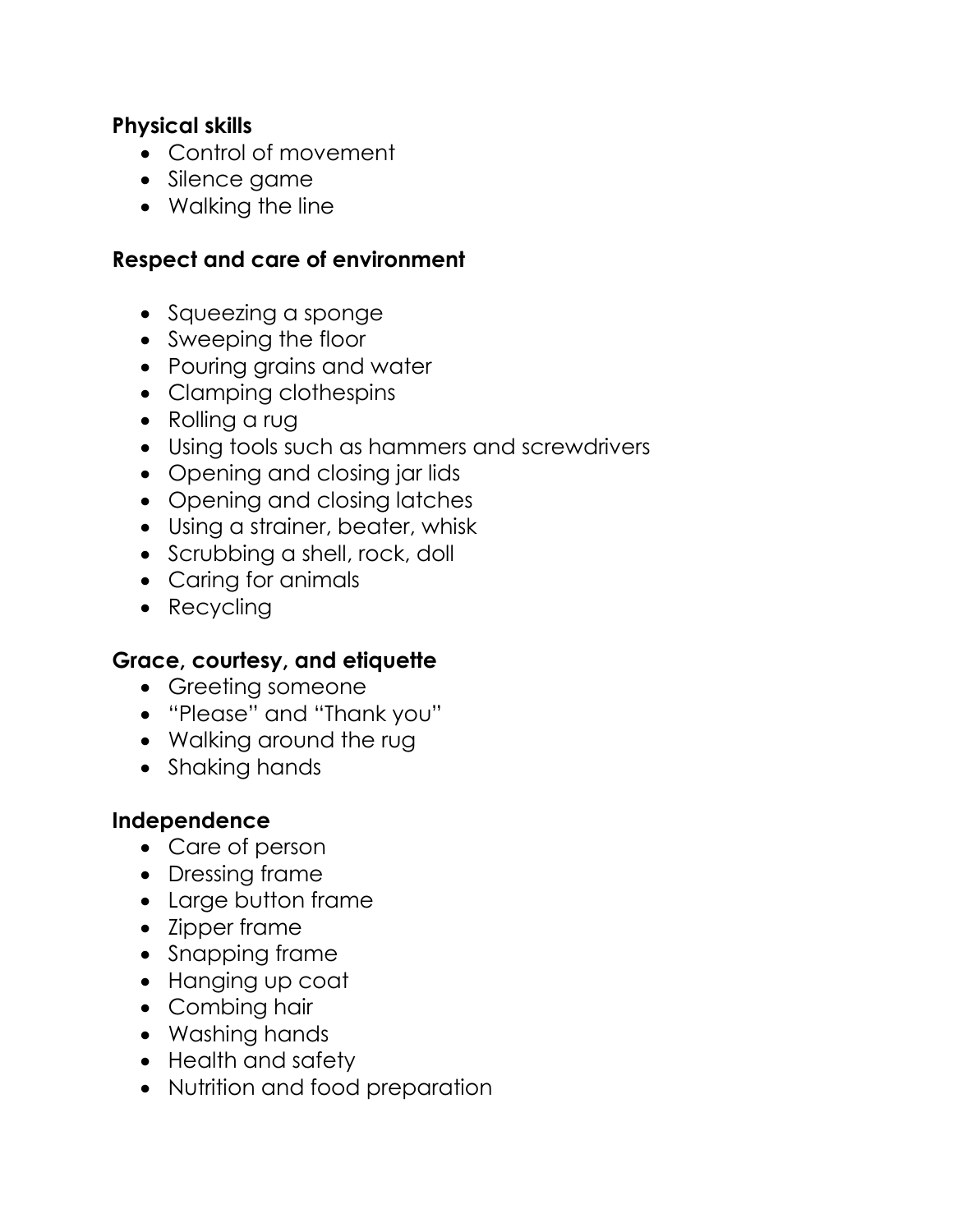#### **Physical skills**

- Control of movement
- Silence game
- Walking the line

#### **Respect and care of environment**

- Squeezing a sponge
- Sweeping the floor
- Pouring grains and water
- Clamping clothespins
- Rolling a rug
- Using tools such as hammers and screwdrivers
- Opening and closing jar lids
- Opening and closing latches
- Using a strainer, beater, whisk
- Scrubbing a shell, rock, doll
- Caring for animals
- Recycling

#### **Grace, courtesy, and etiquette**

- Greeting someone
- "Please" and "Thank you"
- Walking around the rug
- Shaking hands

#### **Independence**

- Care of person
- Dressing frame
- Large button frame
- Zipper frame
- Snapping frame
- Hanging up coat
- Combing hair
- Washing hands
- Health and safety
- Nutrition and food preparation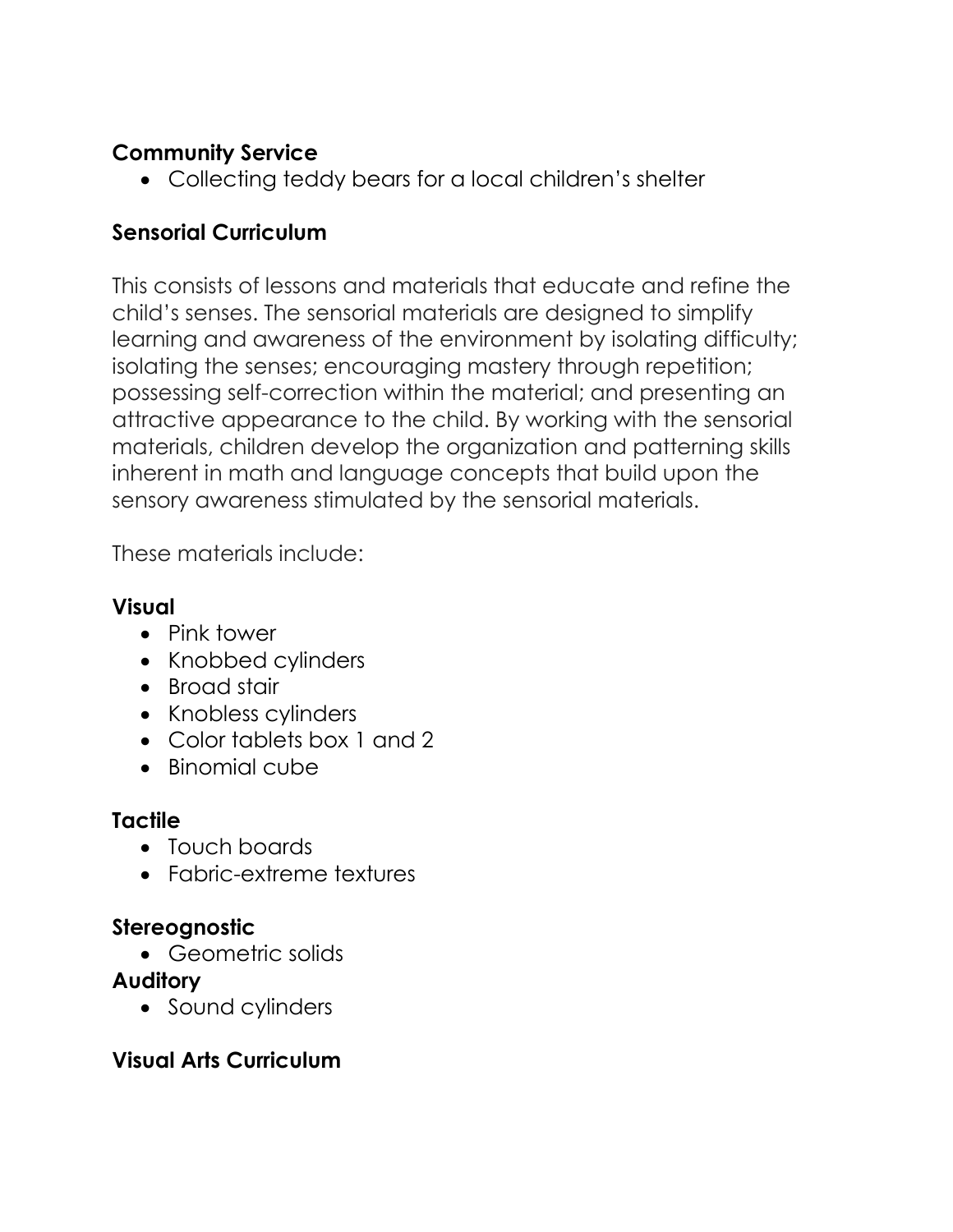### **Community Service**

• Collecting teddy bears for a local children's shelter

# **Sensorial Curriculum**

This consists of lessons and materials that educate and refine the child's senses. The sensorial materials are designed to simplify learning and awareness of the environment by isolating difficulty; isolating the senses; encouraging mastery through repetition; possessing self-correction within the material; and presenting an attractive appearance to the child. By working with the sensorial materials, children develop the organization and patterning skills inherent in math and language concepts that build upon the sensory awareness stimulated by the sensorial materials.

These materials include:

### **Visual**

- Pink tower
- Knobbed cylinders
- Broad stair
- Knobless cylinders
- Color tablets box 1 and 2
- Binomial cube

### **Tactile**

- Touch boards
- Fabric-extreme textures

### **Stereognostic**

• Geometric solids

### **Auditory**

• Sound cylinders

### **Visual Arts Curriculum**